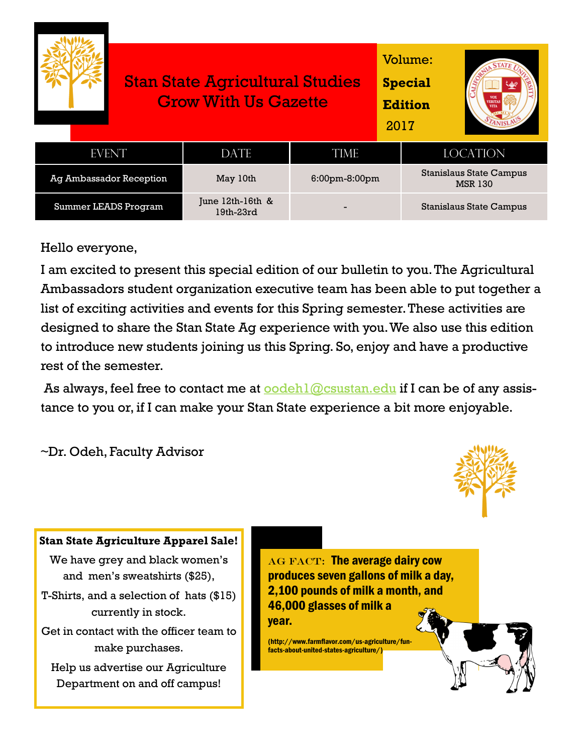|                                |  | <b>Stan State Agricultural Studies</b><br><b>Grow With Us Gazette</b> |                  |  | Volume:<br><b>Special</b><br><b>Edition</b><br><b>VERITAS</b><br>2017 |  |
|--------------------------------|--|-----------------------------------------------------------------------|------------------|--|-----------------------------------------------------------------------|--|
| <b>EVENT</b>                   |  | <b>DATE</b>                                                           | <b>TIME</b>      |  | <b>LOCATION</b>                                                       |  |
| <b>Ag Ambassador Reception</b> |  | May 10th                                                              | $6:00$ pm-8:00pm |  | <b>Stanislaus State Campus</b><br><b>MSR 130</b>                      |  |
| Summer LEADS Program           |  | June $12th-16th$ &<br>19th-23rd                                       |                  |  | Stanislaus State Campus                                               |  |

#### Hello everyone,

I am excited to present this special edition of our bulletin to you. The Agricultural Ambassadors student organization executive team has been able to put together a list of exciting activities and events for this Spring semester. These activities are designed to share the Stan State Ag experience with you. We also use this edition to introduce new students joining us this Spring. So, enjoy and have a productive rest of the semester.

As always, feel free to contact me at  $\overline{\text{oodel1}\textcircled{a}\text{c}$  cannonicall if I can be of any assistance to you or, if I can make your Stan State experience a bit more enjoyable.

~Dr. Odeh, Faculty Advisor



#### **Stan State Agriculture Apparel Sale!**

We have grey and black women's and men's sweatshirts (\$25),

T-Shirts, and a selection of hats (\$15) currently in stock.

Get in contact with the officer team to make purchases.

Help us advertise our Agriculture Department on and off campus!

AG FACT: The average dairy cow produces seven gallons of milk a day, 2,100 pounds of milk a month, and 46,000 glasses of milk a year.

(http://www.farmflavor.com/us-agriculture/funfacts-about-united-states-agriculture/)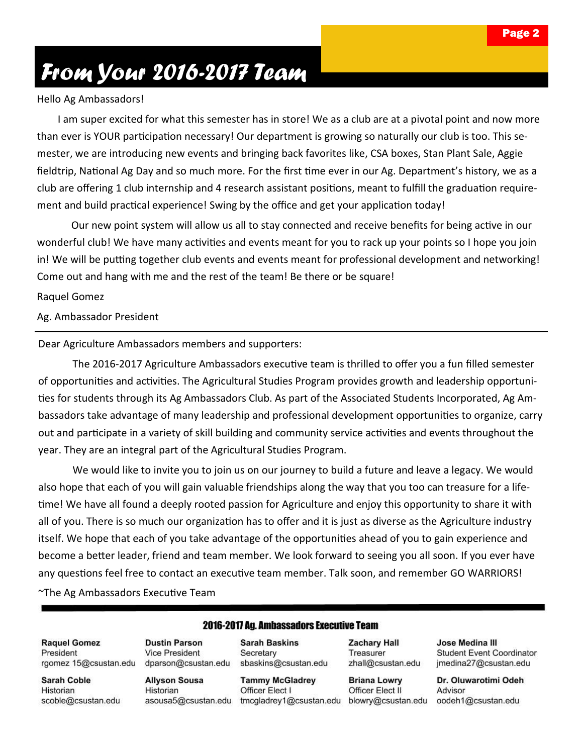## *From Your 2016-2017 Team*

#### Hello Ag Ambassadors!

 I am super excited for what this semester has in store! We as a club are at a pivotal point and now more than ever is YOUR participation necessary! Our department is growing so naturally our club is too. This semester, we are introducing new events and bringing back favorites like, CSA boxes, Stan Plant Sale, Aggie fieldtrip, National Ag Day and so much more. For the first time ever in our Ag. Department's history, we as a club are offering 1 club internship and 4 research assistant positions, meant to fulfill the graduation requirement and build practical experience! Swing by the office and get your application today!

Our new point system will allow us all to stay connected and receive benefits for being active in our wonderful club! We have many activities and events meant for you to rack up your points so I hope you join in! We will be putting together club events and events meant for professional development and networking! Come out and hang with me and the rest of the team! Be there or be square!

Raquel Gomez

Ag. Ambassador President

Dear Agriculture Ambassadors members and supporters:

The 2016-2017 Agriculture Ambassadors executive team is thrilled to offer you a fun filled semester of opportunities and activities. The Agricultural Studies Program provides growth and leadership opportunities for students through its Ag Ambassadors Club. As part of the Associated Students Incorporated, Ag Ambassadors take advantage of many leadership and professional development opportunities to organize, carry out and participate in a variety of skill building and community service activities and events throughout the year. They are an integral part of the Agricultural Studies Program.

We would like to invite you to join us on our journey to build a future and leave a legacy. We would also hope that each of you will gain valuable friendships along the way that you too can treasure for a lifetime! We have all found a deeply rooted passion for Agriculture and enjoy this opportunity to share it with all of you. There is so much our organization has to offer and it is just as diverse as the Agriculture industry itself. We hope that each of you take advantage of the opportunities ahead of you to gain experience and become a better leader, friend and team member. We look forward to seeing you all soon. If you ever have any questions feel free to contact an executive team member. Talk soon, and remember GO WARRIORS! ~The Ag Ambassadors Executive Team

**Raquel Gomez** President rgomez 15@csustan.edu

**Sarah Coble** Historian scoble@csustan.edu **Dustin Parson Vice President** dparson@csustan.edu

**Allyson Sousa** Historian asousa5@csustan.edu

**Sarah Baskins** Secretary sbaskins@csustan.edu

**2016-2017 Ag. Ambassadors Executive Team** 

**Tammy McGladrey** Officer Elect I tmcgladrey1@csustan.edu

**Zachary Hall** Treasurer zhall@csustan.edu

**Briana Lowry** Officer Elect II blowry@csustan.edu

Jose Medina III **Student Event Coordinator** jmedina27@csustan.edu

Dr. Oluwarotimi Odeh Advisor oodeh1@csustan.edu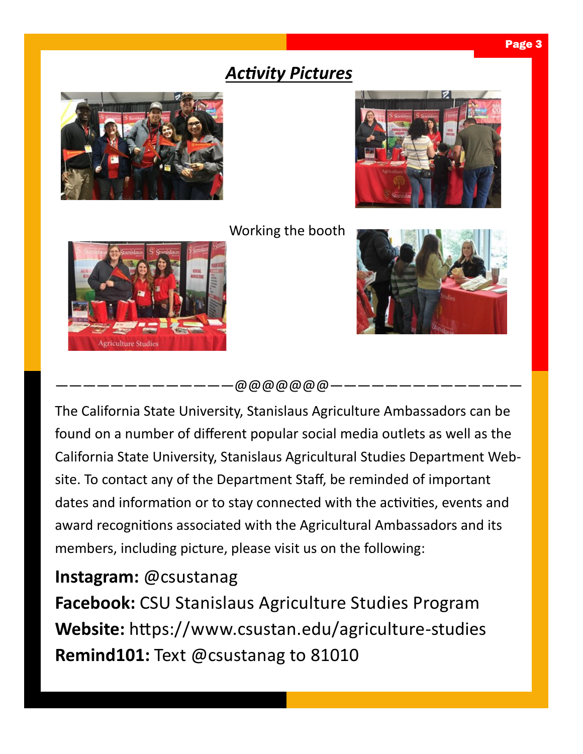### *Activity Pictures*







 $-\varpi\varpi\varpi\varpi\varpi\varpi\varpi\varpi$ 

The California State University, Stanislaus Agriculture Ambassadors can be found on a number of different popular social media outlets as well as the California State University, Stanislaus Agricultural Studies Department Website. To contact any of the Department Staff, be reminded of important dates and information or to stay connected with the activities, events and award recognitions associated with the Agricultural Ambassadors and its members, including picture, please visit us on the following:

#### **Instagram:** @csustanag

**Facebook:** CSU Stanislaus Agriculture Studies Program **Website:** https://www.csustan.edu/agriculture-studies **Remind101:** Text @csustanag to 81010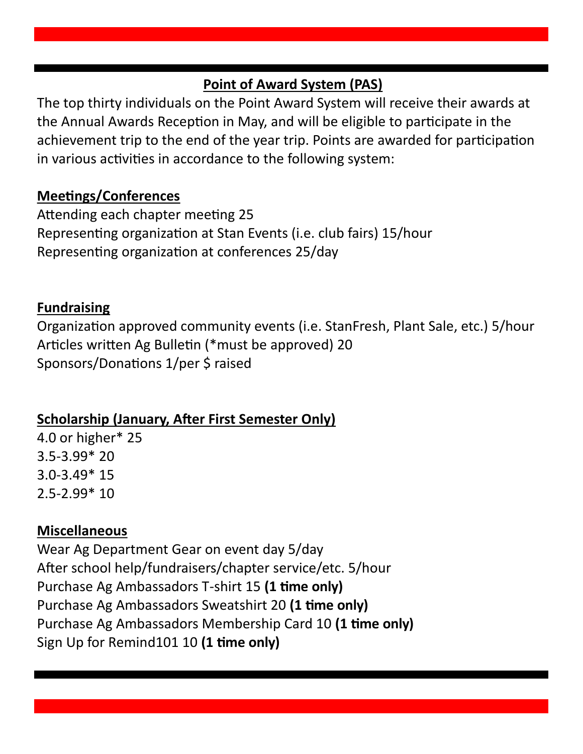#### **Point of Award System (PAS)**

The top thirty individuals on the Point Award System will receive their awards at the Annual Awards Reception in May, and will be eligible to participate in the achievement trip to the end of the year trip. Points are awarded for participation in various activities in accordance to the following system:

#### **Meetings/Conferences**

Attending each chapter meeting 25 Representing organization at Stan Events (i.e. club fairs) 15/hour Representing organization at conferences 25/day

#### **Fundraising**

Organization approved community events (i.e. StanFresh, Plant Sale, etc.) 5/hour Articles written Ag Bulletin (\*must be approved) 20 Sponsors/Donations 1/per \$ raised

#### **Scholarship (January, After First Semester Only)**

4.0 or higher\* 25 3.5-3.99\* 20 3.0-3.49\* 15 2.5-2.99\* 10

#### **Miscellaneous**

Wear Ag Department Gear on event day 5/day After school help/fundraisers/chapter service/etc. 5/hour Purchase Ag Ambassadors T-shirt 15 **(1 time only)** Purchase Ag Ambassadors Sweatshirt 20 **(1 time only)** Purchase Ag Ambassadors Membership Card 10 **(1 time only)** Sign Up for Remind101 10 **(1 time only)**